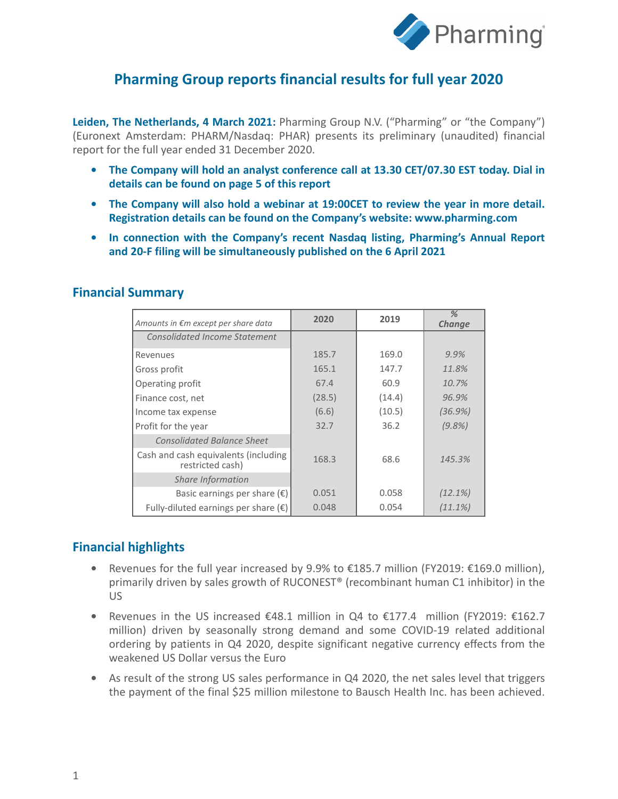

## **Pharming Group reports financial results for full year 2020**

**Leiden, The Netherlands, 4 March 2021:** Pharming Group N.V. ("Pharming" or "the Company") (Euronext Amsterdam: PHARM/Nasdaq: PHAR) presents its preliminary (unaudited) financial report for the full year ended 31 December 2020.

- **• The Company will hold an analyst conference call at 13.30 CET/07.30 EST today. Dial in details can be found on page 5 of this report**
- **• The Company will also hold a webinar at 19:00CET to review the year in more detail. Registration details can be found on the Company's website: www.pharming.com**
- **• In connection with the Company's recent Nasdaq listing, Pharming's Annual Report and 20-F filing will be simultaneously published on the 6 April 2021**

| Amounts in €m except per share data                      | 2020   | 2019   | %<br>Change |
|----------------------------------------------------------|--------|--------|-------------|
| <b>Consolidated Income Statement</b>                     |        |        |             |
| Revenues                                                 | 185.7  | 169.0  | 9.9%        |
| Gross profit                                             | 165.1  | 147.7  | 11.8%       |
| Operating profit                                         | 67.4   | 60.9   | 10.7%       |
| Finance cost, net                                        | (28.5) | (14.4) | 96.9%       |
| Income tax expense                                       | (6.6)  | (10.5) | (36.9%)     |
| Profit for the year                                      | 32.7   | 36.2   | $(9.8\%)$   |
| <b>Consolidated Balance Sheet</b>                        |        |        |             |
| Cash and cash equivalents (including<br>restricted cash) | 168.3  | 68.6   | 145.3%      |
| <b>Share Information</b>                                 |        |        |             |
| Basic earnings per share $(\epsilon)$                    | 0.051  | 0.058  | (12.1%)     |
| Fully-diluted earnings per share $(\epsilon)$            | 0.048  | 0.054  | (11.1%)     |

### **Financial Summary**

### **Financial highlights**

- **•** Revenues for the full year increased by 9.9% to €185.7 million (FY2019: €169.0 million), primarily driven by sales growth of RUCONEST® (recombinant human C1 inhibitor) in the US
- **•** Revenues in the US increased €48.1 million in Q4 to €177.4 million (FY2019: €162.7 million) driven by seasonally strong demand and some COVID-19 related additional ordering by patients in Q4 2020, despite significant negative currency effects from the weakened US Dollar versus the Euro
- **•** As result of the strong US sales performance in Q4 2020, the net sales level that triggers the payment of the final \$25 million milestone to Bausch Health Inc. has been achieved.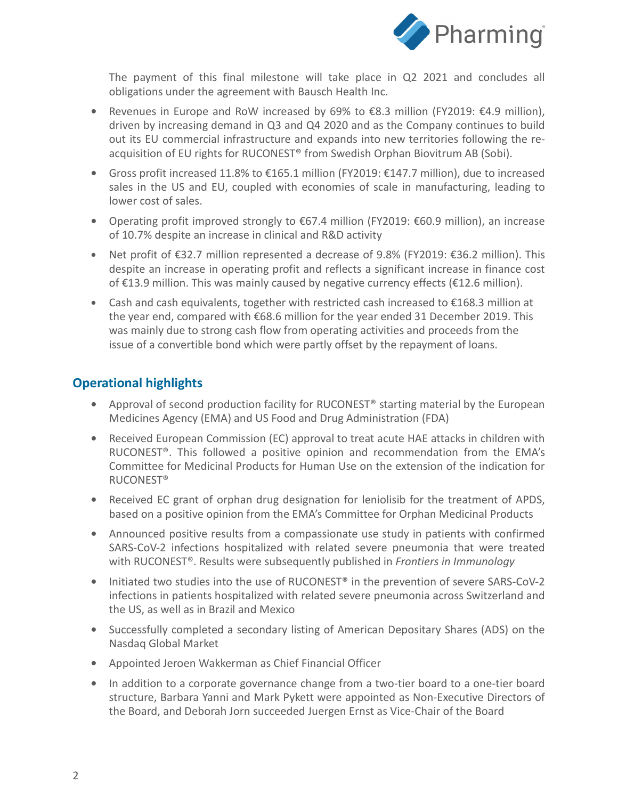

The payment of this final milestone will take place in Q2 2021 and concludes all obligations under the agreement with Bausch Health Inc.

- **•** Revenues in Europe and RoW increased by 69% to €8.3 million (FY2019: €4.9 million), driven by increasing demand in Q3 and Q4 2020 and as the Company continues to build out its EU commercial infrastructure and expands into new territories following the reacquisition of EU rights for RUCONEST<sup>®</sup> from Swedish Orphan Biovitrum AB (Sobi).
- **•** Gross profit increased 11.8% to €165.1 million (FY2019: €147.7 million), due to increased sales in the US and EU, coupled with economies of scale in manufacturing, leading to lower cost of sales.
- **•** Operating profit improved strongly to €67.4 million (FY2019: €60.9 million), an increase of 10.7% despite an increase in clinical and R&D activity
- **•** Net profit of €32.7 million represented a decrease of 9.8% (FY2019: €36.2 million). This despite an increase in operating profit and reflects a significant increase in finance cost of €13.9 million. This was mainly caused by negative currency effects (€12.6 million).
- **•** Cash and cash equivalents, together with restricted cash increased to €168.3 million at the year end, compared with €68.6 million for the year ended 31 December 2019. This was mainly due to strong cash flow from operating activities and proceeds from the issue of a convertible bond which were partly offset by the repayment of loans.

## **Operational highlights**

- **•** Approval of second production facility for RUCONEST® starting material by the European Medicines Agency (EMA) and US Food and Drug Administration (FDA)
- **•** Received European Commission (EC) approval to treat acute HAE attacks in children with RUCONEST®. This followed a positive opinion and recommendation from the EMA's Committee for Medicinal Products for Human Use on the extension of the indication for RUCONEST®
- **•** Received EC grant of orphan drug designation for leniolisib for the treatment of APDS, based on a positive opinion from the EMA's Committee for Orphan Medicinal Products
- **•** Announced positive results from a compassionate use study in patients with confirmed SARS-CoV-2 infections hospitalized with related severe pneumonia that were treated with RUCONEST®. Results were subsequently published in *Frontiers in Immunology*
- Initiated two studies into the use of RUCONEST<sup>®</sup> in the prevention of severe SARS-CoV-2 infections in patients hospitalized with related severe pneumonia across Switzerland and the US, as well as in Brazil and Mexico
- **•** Successfully completed a secondary listing of American Depositary Shares (ADS) on the Nasdaq Global Market
- **•** Appointed Jeroen Wakkerman as Chief Financial Officer
- **•** In addition to a corporate governance change from a two-tier board to a one-tier board structure, Barbara Yanni and Mark Pykett were appointed as Non-Executive Directors of the Board, and Deborah Jorn succeeded Juergen Ernst as Vice-Chair of the Board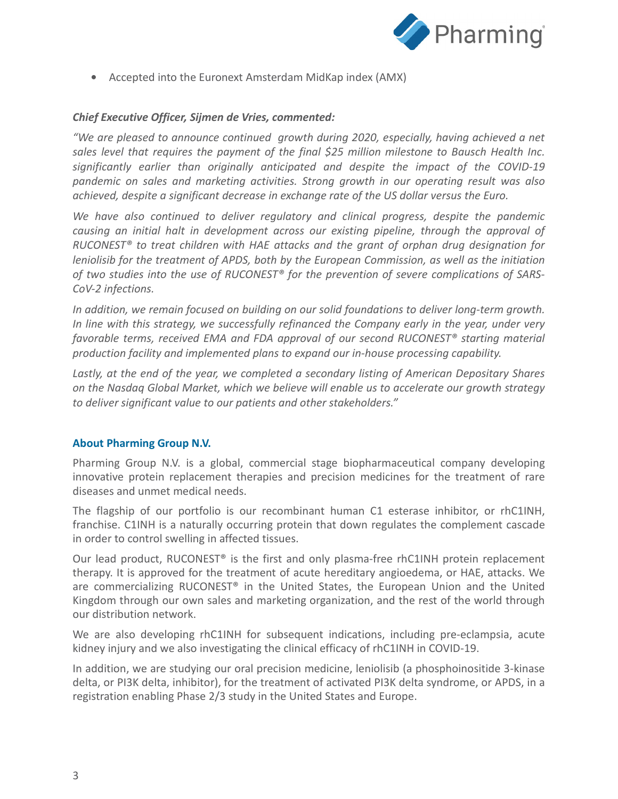

**•** Accepted into the Euronext Amsterdam MidKap index (AMX)

#### *Chief Executive Officer, Sijmen de Vries, commented:*

*"We are pleased to announce continued growth during 2020, especially, having achieved a net sales level that requires the payment of the final \$25 million milestone to Bausch Health Inc. significantly earlier than originally anticipated and despite the impact of the COVID-19 pandemic on sales and marketing activities. Strong growth in our operating result was also achieved, despite a significant decrease in exchange rate of the US dollar versus the Euro.* 

*We have also continued to deliver regulatory and clinical progress, despite the pandemic causing an initial halt in development across our existing pipeline, through the approval of RUCONEST® to treat children with HAE attacks and the grant of orphan drug designation for leniolisib for the treatment of APDS, both by the European Commission, as well as the initiation of two studies into the use of RUCONEST® for the prevention of severe complications of SARS-CoV-2 infections.* 

*In addition, we remain focused on building on our solid foundations to deliver long-term growth. In line with this strategy, we successfully refinanced the Company early in the year, under very favorable terms, received EMA and FDA approval of our second RUCONEST® starting material production facility and implemented plans to expand our in-house processing capability.* 

*Lastly, at the end of the year, we completed a secondary listing of American Depositary Shares on the Nasdaq Global Market, which we believe will enable us to accelerate our growth strategy to deliver significant value to our patients and other stakeholders."*

#### **About Pharming Group N.V.**

Pharming Group N.V. is a global, commercial stage biopharmaceutical company developing innovative protein replacement therapies and precision medicines for the treatment of rare diseases and unmet medical needs.

The flagship of our portfolio is our recombinant human C1 esterase inhibitor, or rhC1INH, franchise. C1INH is a naturally occurring protein that down regulates the complement cascade in order to control swelling in affected tissues.

Our lead product, RUCONEST® is the first and only plasma-free rhC1INH protein replacement therapy. It is approved for the treatment of acute hereditary angioedema, or HAE, attacks. We are commercializing RUCONEST® in the United States, the European Union and the United Kingdom through our own sales and marketing organization, and the rest of the world through our distribution network.

We are also developing rhC1INH for subsequent indications, including pre-eclampsia, acute kidney injury and we also investigating the clinical efficacy of rhC1INH in COVID-19.

In addition, we are studying our oral precision medicine, leniolisib (a phosphoinositide 3-kinase delta, or PI3K delta, inhibitor), for the treatment of activated PI3K delta syndrome, or APDS, in a registration enabling Phase 2/3 study in the United States and Europe.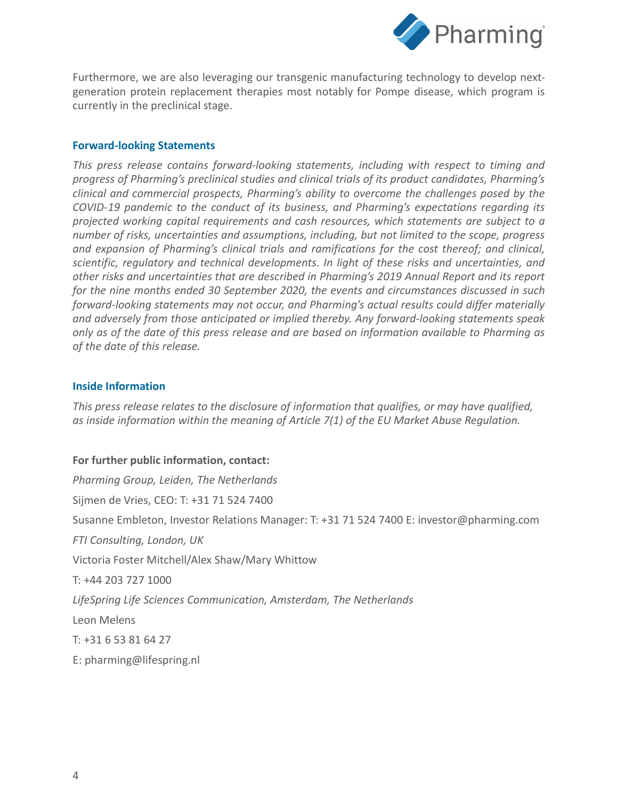

Furthermore, we are also leveraging our transgenic manufacturing technology to develop nextgeneration protein replacement therapies most notably for Pompe disease, which program is currently in the preclinical stage.

#### **Forward-looking Statements**

*This press release contains forward-looking statements, including with respect to timing and progress of Pharming's preclinical studies and clinical trials of its product candidates, Pharming's clinical and commercial prospects, Pharming's ability to overcome the challenges posed by the COVID-19 pandemic to the conduct of its business, and Pharming's expectations regarding its projected working capital requirements and cash resources, which statements are subject to a number of risks, uncertainties and assumptions, including, but not limited to the scope, progress and expansion of Pharming's clinical trials and ramifications for the cost thereof; and clinical, scientific, regulatory and technical developments. In light of these risks and uncertainties, and other risks and uncertainties that are described in Pharming's 2019 Annual Report and its report for the nine months ended 30 September 2020, the events and circumstances discussed in such forward-looking statements may not occur, and Pharming's actual results could differ materially and adversely from those anticipated or implied thereby. Any forward-looking statements speak only as of the date of this press release and are based on information available to Pharming as of the date of this release.*

#### **Inside Information**

*This press release relates to the disclosure of information that qualifies, or may have qualified, as inside information within the meaning of Article 7(1) of the EU Market Abuse Regulation.*

#### **For further public information, contact:**

*Pharming Group, Leiden, The Netherlands* Sijmen de Vries, CEO: T: +31 71 524 7400 Susanne Embleton, Investor Relations Manager: T: +31 71 524 7400 E: investor@pharming.com *FTI Consulting, London, UK* Victoria Foster Mitchell/Alex Shaw/Mary Whittow T: +44 203 727 1000 *LifeSpring Life Sciences Communication, Amsterdam, The Netherlands* Leon Melens T: +31 6 53 81 64 27 E: pharming@lifespring.nl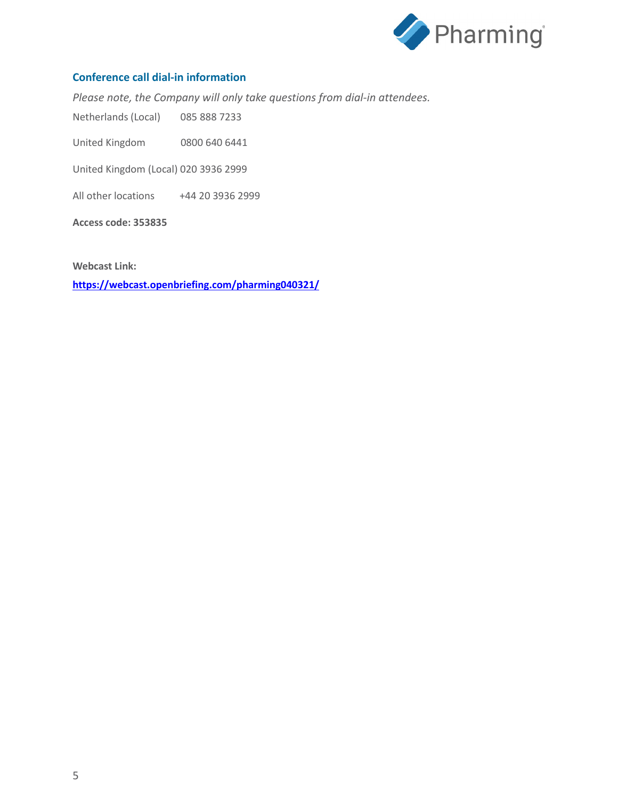

#### **Conference call dial-in information**

*Please note, the Company will only take questions from dial-in attendees.*

Netherlands (Local) 085 888 7233

United Kingdom 0800 640 6441

United Kingdom (Local) 020 3936 2999

All other locations +44 20 3936 2999

**Access code: 353835**

**Webcast Link:**

**<https://webcast.openbriefing.com/pharming040321/>**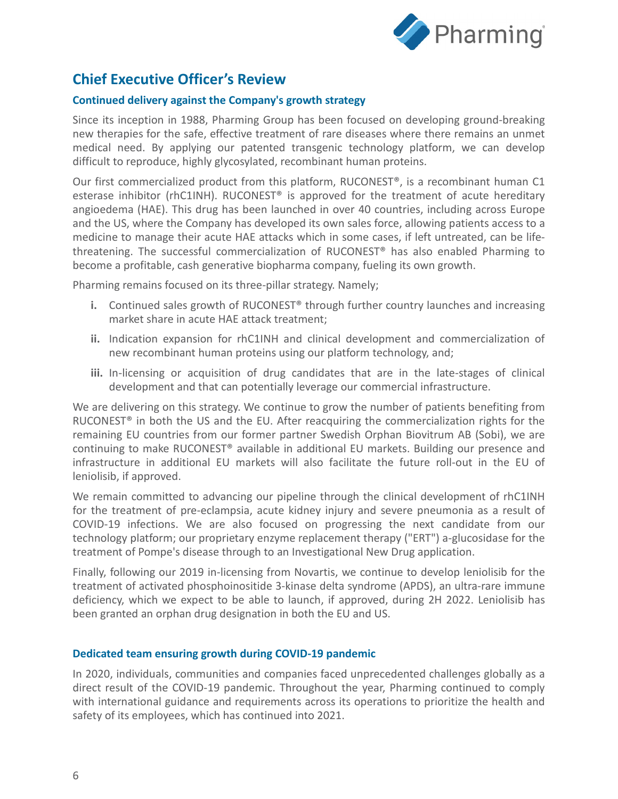

## **Chief Executive Officer's Review**

#### **Continued delivery against the Company's growth strategy**

Since its inception in 1988, Pharming Group has been focused on developing ground-breaking new therapies for the safe, effective treatment of rare diseases where there remains an unmet medical need. By applying our patented transgenic technology platform, we can develop difficult to reproduce, highly glycosylated, recombinant human proteins.

Our first commercialized product from this platform, RUCONEST®, is a recombinant human C1 esterase inhibitor (rhC1INH). RUCONEST® is approved for the treatment of acute hereditary angioedema (HAE). This drug has been launched in over 40 countries, including across Europe and the US, where the Company has developed its own sales force, allowing patients access to a medicine to manage their acute HAE attacks which in some cases, if left untreated, can be lifethreatening. The successful commercialization of RUCONEST® has also enabled Pharming to become a profitable, cash generative biopharma company, fueling its own growth.

Pharming remains focused on its three-pillar strategy. Namely;

- **i.** Continued sales growth of RUCONEST<sup>®</sup> through further country launches and increasing market share in acute HAE attack treatment;
- **ii.** Indication expansion for rhC1INH and clinical development and commercialization of new recombinant human proteins using our platform technology, and;
- iii. In-licensing or acquisition of drug candidates that are in the late-stages of clinical development and that can potentially leverage our commercial infrastructure.

We are delivering on this strategy. We continue to grow the number of patients benefiting from RUCONEST® in both the US and the EU. After reacquiring the commercialization rights for the remaining EU countries from our former partner Swedish Orphan Biovitrum AB (Sobi), we are continuing to make RUCONEST® available in additional EU markets. Building our presence and infrastructure in additional EU markets will also facilitate the future roll-out in the EU of leniolisib, if approved.

We remain committed to advancing our pipeline through the clinical development of rhC1INH for the treatment of pre-eclampsia, acute kidney injury and severe pneumonia as a result of COVID-19 infections. We are also focused on progressing the next candidate from our technology platform; our proprietary enzyme replacement therapy ("ERT") a-glucosidase for the treatment of Pompe's disease through to an Investigational New Drug application.

Finally, following our 2019 in-licensing from Novartis, we continue to develop leniolisib for the treatment of activated phosphoinositide 3-kinase delta syndrome (APDS), an ultra-rare immune deficiency, which we expect to be able to launch, if approved, during 2H 2022. Leniolisib has been granted an orphan drug designation in both the EU and US.

#### **Dedicated team ensuring growth during COVID-19 pandemic**

In 2020, individuals, communities and companies faced unprecedented challenges globally as a direct result of the COVID-19 pandemic. Throughout the year, Pharming continued to comply with international guidance and requirements across its operations to prioritize the health and safety of its employees, which has continued into 2021.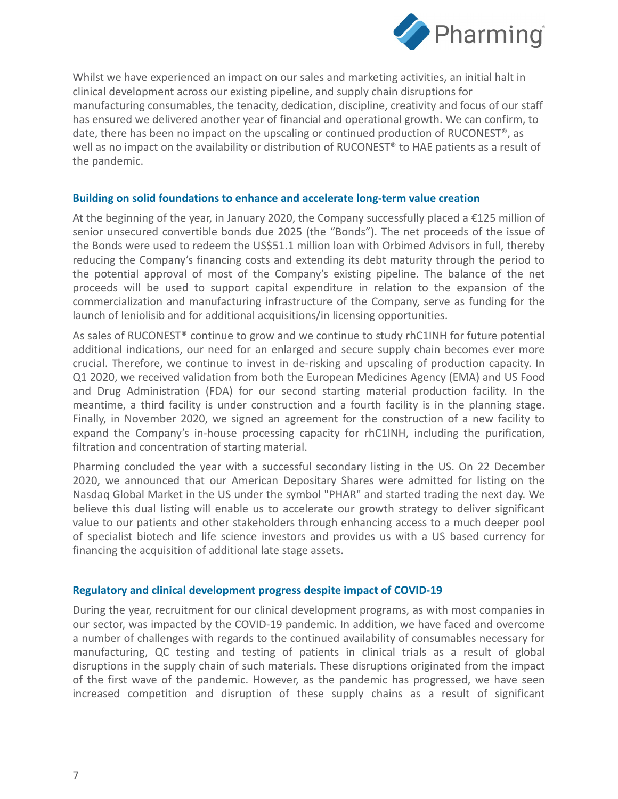

Whilst we have experienced an impact on our sales and marketing activities, an initial halt in clinical development across our existing pipeline, and supply chain disruptions for manufacturing consumables, the tenacity, dedication, discipline, creativity and focus of our staff has ensured we delivered another year of financial and operational growth. We can confirm, to date, there has been no impact on the upscaling or continued production of RUCONEST<sup>®</sup>, as well as no impact on the availability or distribution of RUCONEST<sup>®</sup> to HAE patients as a result of the pandemic.

#### **Building on solid foundations to enhance and accelerate long-term value creation**

At the beginning of the year, in January 2020, the Company successfully placed a  $\epsilon$ 125 million of senior unsecured convertible bonds due 2025 (the "Bonds"). The net proceeds of the issue of the Bonds were used to redeem the US\$51.1 million loan with Orbimed Advisors in full, thereby reducing the Company's financing costs and extending its debt maturity through the period to the potential approval of most of the Company's existing pipeline. The balance of the net proceeds will be used to support capital expenditure in relation to the expansion of the commercialization and manufacturing infrastructure of the Company, serve as funding for the launch of leniolisib and for additional acquisitions/in licensing opportunities.

As sales of RUCONEST® continue to grow and we continue to study rhC1INH for future potential additional indications, our need for an enlarged and secure supply chain becomes ever more crucial. Therefore, we continue to invest in de-risking and upscaling of production capacity. In Q1 2020, we received validation from both the European Medicines Agency (EMA) and US Food and Drug Administration (FDA) for our second starting material production facility. In the meantime, a third facility is under construction and a fourth facility is in the planning stage. Finally, in November 2020, we signed an agreement for the construction of a new facility to expand the Company's in-house processing capacity for rhC1INH, including the purification, filtration and concentration of starting material.

Pharming concluded the year with a successful secondary listing in the US. On 22 December 2020, we announced that our American Depositary Shares were admitted for listing on the Nasdaq Global Market in the US under the symbol "PHAR" and started trading the next day. We believe this dual listing will enable us to accelerate our growth strategy to deliver significant value to our patients and other stakeholders through enhancing access to a much deeper pool of specialist biotech and life science investors and provides us with a US based currency for financing the acquisition of additional late stage assets.

#### **Regulatory and clinical development progress despite impact of COVID-19**

During the year, recruitment for our clinical development programs, as with most companies in our sector, was impacted by the COVID-19 pandemic. In addition, we have faced and overcome a number of challenges with regards to the continued availability of consumables necessary for manufacturing, QC testing and testing of patients in clinical trials as a result of global disruptions in the supply chain of such materials. These disruptions originated from the impact of the first wave of the pandemic. However, as the pandemic has progressed, we have seen increased competition and disruption of these supply chains as a result of significant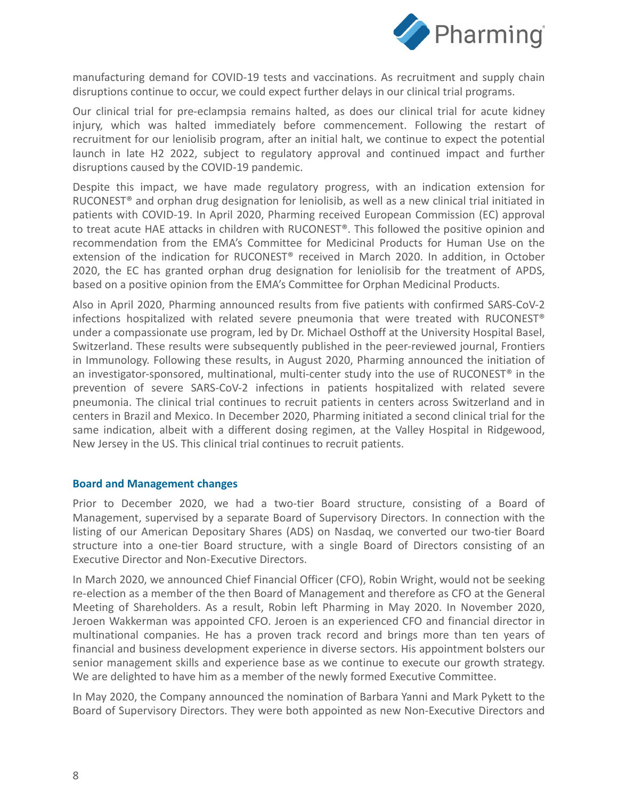

manufacturing demand for COVID-19 tests and vaccinations. As recruitment and supply chain disruptions continue to occur, we could expect further delays in our clinical trial programs.

Our clinical trial for pre-eclampsia remains halted, as does our clinical trial for acute kidney injury, which was halted immediately before commencement. Following the restart of recruitment for our leniolisib program, after an initial halt, we continue to expect the potential launch in late H2 2022, subject to regulatory approval and continued impact and further disruptions caused by the COVID-19 pandemic.

Despite this impact, we have made regulatory progress, with an indication extension for RUCONEST® and orphan drug designation for leniolisib, as well as a new clinical trial initiated in patients with COVID-19. In April 2020, Pharming received European Commission (EC) approval to treat acute HAE attacks in children with RUCONEST®. This followed the positive opinion and recommendation from the EMA's Committee for Medicinal Products for Human Use on the extension of the indication for RUCONEST® received in March 2020. In addition, in October 2020, the EC has granted orphan drug designation for leniolisib for the treatment of APDS, based on a positive opinion from the EMA's Committee for Orphan Medicinal Products.

Also in April 2020, Pharming announced results from five patients with confirmed SARS-CoV-2 infections hospitalized with related severe pneumonia that were treated with RUCONEST® under a compassionate use program, led by Dr. Michael Osthoff at the University Hospital Basel, Switzerland. These results were subsequently published in the peer-reviewed journal, Frontiers in Immunology. Following these results, in August 2020, Pharming announced the initiation of an investigator-sponsored, multinational, multi-center study into the use of RUCONEST<sup>®</sup> in the prevention of severe SARS-CoV-2 infections in patients hospitalized with related severe pneumonia. The clinical trial continues to recruit patients in centers across Switzerland and in centers in Brazil and Mexico. In December 2020, Pharming initiated a second clinical trial for the same indication, albeit with a different dosing regimen, at the Valley Hospital in Ridgewood, New Jersey in the US. This clinical trial continues to recruit patients.

#### **Board and Management changes**

Prior to December 2020, we had a two-tier Board structure, consisting of a Board of Management, supervised by a separate Board of Supervisory Directors. In connection with the listing of our American Depositary Shares (ADS) on Nasdaq, we converted our two-tier Board structure into a one-tier Board structure, with a single Board of Directors consisting of an Executive Director and Non-Executive Directors.

In March 2020, we announced Chief Financial Officer (CFO), Robin Wright, would not be seeking re-election as a member of the then Board of Management and therefore as CFO at the General Meeting of Shareholders. As a result, Robin left Pharming in May 2020. In November 2020, Jeroen Wakkerman was appointed CFO. Jeroen is an experienced CFO and financial director in multinational companies. He has a proven track record and brings more than ten years of financial and business development experience in diverse sectors. His appointment bolsters our senior management skills and experience base as we continue to execute our growth strategy. We are delighted to have him as a member of the newly formed Executive Committee.

In May 2020, the Company announced the nomination of Barbara Yanni and Mark Pykett to the Board of Supervisory Directors. They were both appointed as new Non-Executive Directors and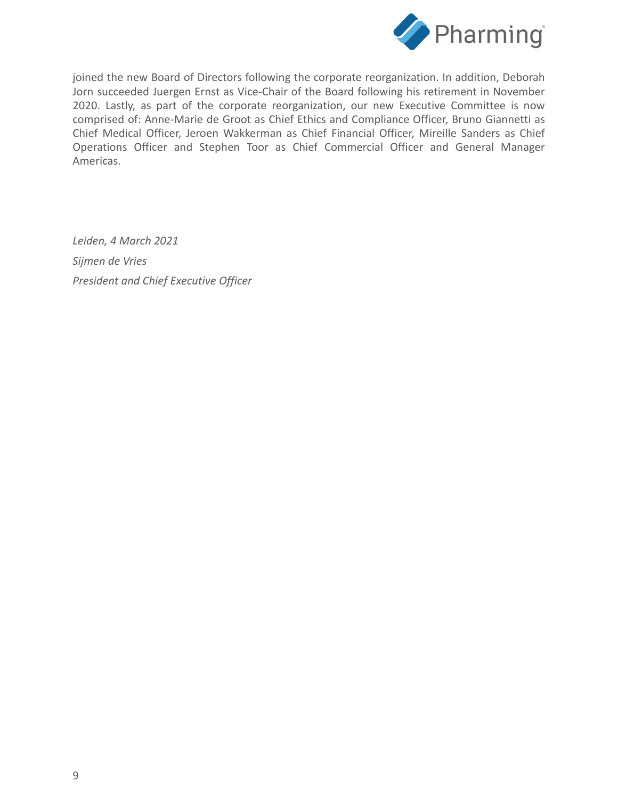

joined the new Board of Directors following the corporate reorganization. In addition, Deborah Jorn succeeded Juergen Ernst as Vice-Chair of the Board following his retirement in November 2020. Lastly, as part of the corporate reorganization, our new Executive Committee is now comprised of: Anne-Marie de Groot as Chief Ethics and Compliance Officer, Bruno Giannetti as Chief Medical Officer, Jeroen Wakkerman as Chief Financial Officer, Mireille Sanders as Chief Operations Officer and Stephen Toor as Chief Commercial Officer and General Manager Americas.

*Leiden, 4 March 2021 Sijmen de Vries President and Chief Executive Officer*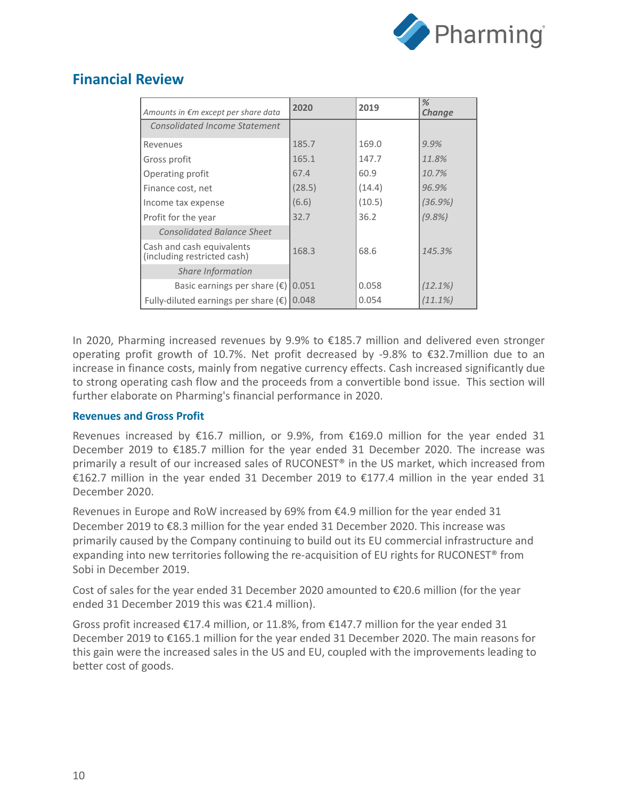

## **Financial Review**

| Amounts in €m except per share data                      | 2020   | 2019   | %<br><b>Change</b> |
|----------------------------------------------------------|--------|--------|--------------------|
| Consolidated Income Statement                            |        |        |                    |
| Revenues                                                 | 185.7  | 169.0  | $9.9\%$            |
| Gross profit                                             | 165.1  | 147.7  | 11.8%              |
| Operating profit                                         | 67.4   | 60.9   | 10.7%              |
| Finance cost, net                                        | (28.5) | (14.4) | 96.9%              |
| Income tax expense                                       | (6.6)  | (10.5) | (36.9%)            |
| Profit for the year                                      | 32.7   | 36.2   | $(9.8\%)$          |
| <b>Consolidated Balance Sheet</b>                        |        |        |                    |
| Cash and cash equivalents<br>(including restricted cash) | 168.3  | 68.6   | 145.3%             |
| Share Information                                        |        |        |                    |
| Basic earnings per share $(\epsilon)$                    | 0.051  | 0.058  | (12.1%)            |
| Fully-diluted earnings per share $(\epsilon)$            | 0.048  | 0.054  | (11.1%)            |

In 2020, Pharming increased revenues by 9.9% to €185.7 million and delivered even stronger operating profit growth of 10.7%. Net profit decreased by -9.8% to  $\epsilon$ 32.7million due to an increase in finance costs, mainly from negative currency effects. Cash increased significantly due to strong operating cash flow and the proceeds from a convertible bond issue. This section will further elaborate on Pharming's financial performance in 2020.

### **Revenues and Gross Profit**

Revenues increased by €16.7 million, or 9.9%, from €169.0 million for the year ended 31 December 2019 to €185.7 million for the year ended 31 December 2020. The increase was primarily a result of our increased sales of RUCONEST® in the US market, which increased from €162.7 million in the year ended 31 December 2019 to €177.4 million in the year ended 31 December 2020.

Revenues in Europe and RoW increased by 69% from €4.9 million for the year ended 31 December 2019 to €8.3 million for the year ended 31 December 2020. This increase was primarily caused by the Company continuing to build out its EU commercial infrastructure and expanding into new territories following the re-acquisition of EU rights for RUCONEST® from Sobi in December 2019.

Cost of sales for the year ended 31 December 2020 amounted to €20.6 million (for the year ended 31 December 2019 this was €21.4 million).

Gross profit increased  $\epsilon$ 17.4 million, or 11.8%, from  $\epsilon$ 147.7 million for the year ended 31 December 2019 to €165.1 million for the year ended 31 December 2020. The main reasons for this gain were the increased sales in the US and EU, coupled with the improvements leading to better cost of goods.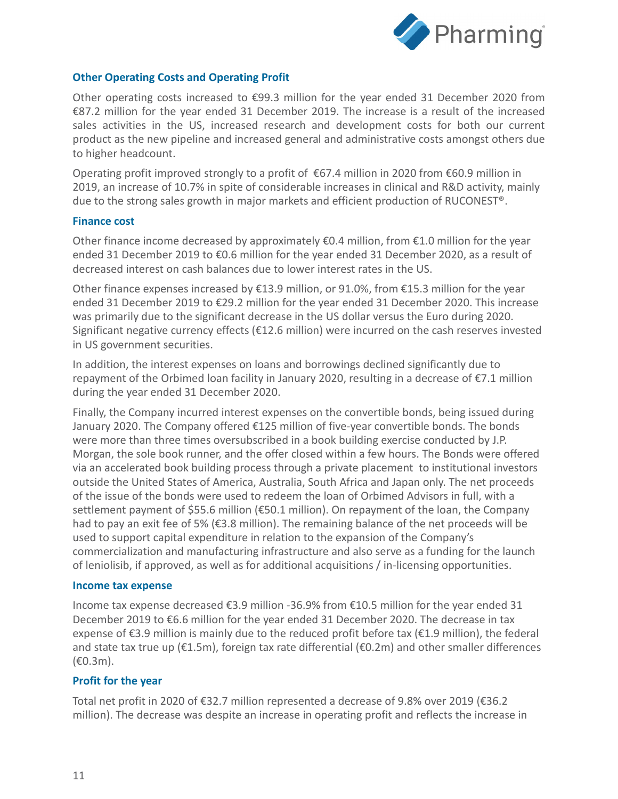

#### **Other Operating Costs and Operating Profit**

Other operating costs increased to €99.3 million for the year ended 31 December 2020 from €87.2 million for the year ended 31 December 2019. The increase is a result of the increased sales activities in the US, increased research and development costs for both our current product as the new pipeline and increased general and administrative costs amongst others due to higher headcount.

Operating profit improved strongly to a profit of  $\epsilon$ 67.4 million in 2020 from  $\epsilon$ 60.9 million in 2019, an increase of 10.7% in spite of considerable increases in clinical and R&D activity, mainly due to the strong sales growth in major markets and efficient production of RUCONEST®.

#### **Finance cost**

Other finance income decreased by approximately  $\epsilon$ 0.4 million, from  $\epsilon$ 1.0 million for the year ended 31 December 2019 to €0.6 million for the year ended 31 December 2020, as a result of decreased interest on cash balances due to lower interest rates in the US.

Other finance expenses increased by  $E13.9$  million, or 91.0%, from  $E15.3$  million for the year ended 31 December 2019 to €29.2 million for the year ended 31 December 2020. This increase was primarily due to the significant decrease in the US dollar versus the Euro during 2020. Significant negative currency effects (€12.6 million) were incurred on the cash reserves invested in US government securities.

In addition, the interest expenses on loans and borrowings declined significantly due to repayment of the Orbimed loan facility in January 2020, resulting in a decrease of €7.1 million during the year ended 31 December 2020.

Finally, the Company incurred interest expenses on the convertible bonds, being issued during January 2020. The Company offered €125 million of five-year convertible bonds. The bonds were more than three times oversubscribed in a book building exercise conducted by J.P. Morgan, the sole book runner, and the offer closed within a few hours. The Bonds were offered via an accelerated book building process through a private placement to institutional investors outside the United States of America, Australia, South Africa and Japan only. The net proceeds of the issue of the bonds were used to redeem the loan of Orbimed Advisors in full, with a settlement payment of \$55.6 million (€50.1 million). On repayment of the loan, the Company had to pay an exit fee of 5% (€3.8 million). The remaining balance of the net proceeds will be used to support capital expenditure in relation to the expansion of the Company's commercialization and manufacturing infrastructure and also serve as a funding for the launch of leniolisib, if approved, as well as for additional acquisitions / in-licensing opportunities.

#### **Income tax expense**

Income tax expense decreased €3.9 million -36.9% from €10.5 million for the year ended 31 December 2019 to €6.6 million for the year ended 31 December 2020. The decrease in tax expense of €3.9 million is mainly due to the reduced profit before tax (€1.9 million), the federal and state tax true up ( $E1.5m$ ), foreign tax rate differential ( $E0.2m$ ) and other smaller differences (€0.3m).

#### **Profit for the year**

Total net profit in 2020 of €32.7 million represented a decrease of 9.8% over 2019 (€36.2 million). The decrease was despite an increase in operating profit and reflects the increase in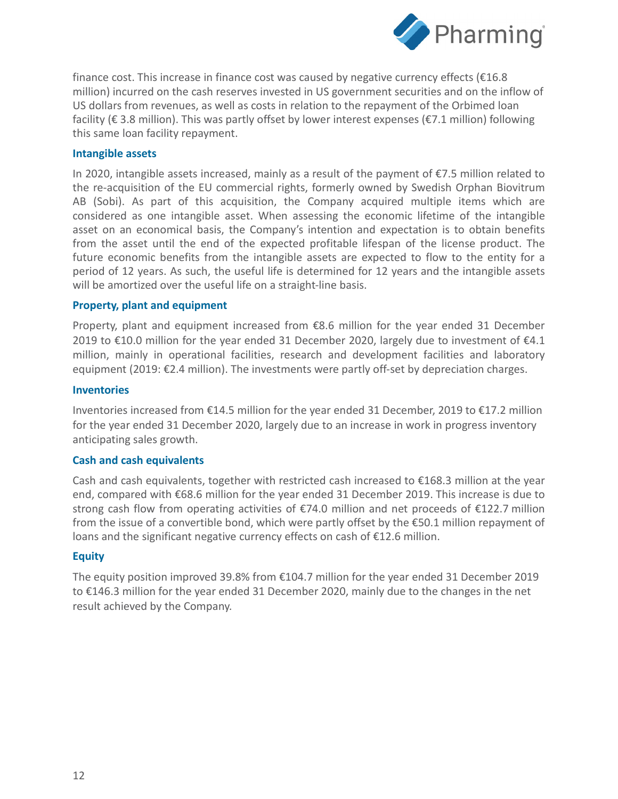

finance cost. This increase in finance cost was caused by negative currency effects (€16.8 million) incurred on the cash reserves invested in US government securities and on the inflow of US dollars from revenues, as well as costs in relation to the repayment of the Orbimed loan facility (€ 3.8 million). This was partly offset by lower interest expenses (€7.1 million) following this same loan facility repayment.

#### **Intangible assets**

In 2020, intangible assets increased, mainly as a result of the payment of €7.5 million related to the re-acquisition of the EU commercial rights, formerly owned by Swedish Orphan Biovitrum AB (Sobi). As part of this acquisition, the Company acquired multiple items which are considered as one intangible asset. When assessing the economic lifetime of the intangible asset on an economical basis, the Company's intention and expectation is to obtain benefits from the asset until the end of the expected profitable lifespan of the license product. The future economic benefits from the intangible assets are expected to flow to the entity for a period of 12 years. As such, the useful life is determined for 12 years and the intangible assets will be amortized over the useful life on a straight-line basis.

#### **Property, plant and equipment**

Property, plant and equipment increased from  $\epsilon$ 8.6 million for the year ended 31 December 2019 to €10.0 million for the year ended 31 December 2020, largely due to investment of  $E$ 4.1 million, mainly in operational facilities, research and development facilities and laboratory equipment (2019: €2.4 million). The investments were partly off-set by depreciation charges.

#### **Inventories**

Inventories increased from €14.5 million for the year ended 31 December, 2019 to €17.2 million for the year ended 31 December 2020, largely due to an increase in work in progress inventory anticipating sales growth.

#### **Cash and cash equivalents**

Cash and cash equivalents, together with restricted cash increased to  $\epsilon$ 168.3 million at the year end, compared with €68.6 million for the year ended 31 December 2019. This increase is due to strong cash flow from operating activities of €74.0 million and net proceeds of €122.7 million from the issue of a convertible bond, which were partly offset by the €50.1 million repayment of loans and the significant negative currency effects on cash of €12.6 million.

#### **Equity**

The equity position improved 39.8% from €104.7 million for the year ended 31 December 2019 to €146.3 million for the year ended 31 December 2020, mainly due to the changes in the net result achieved by the Company.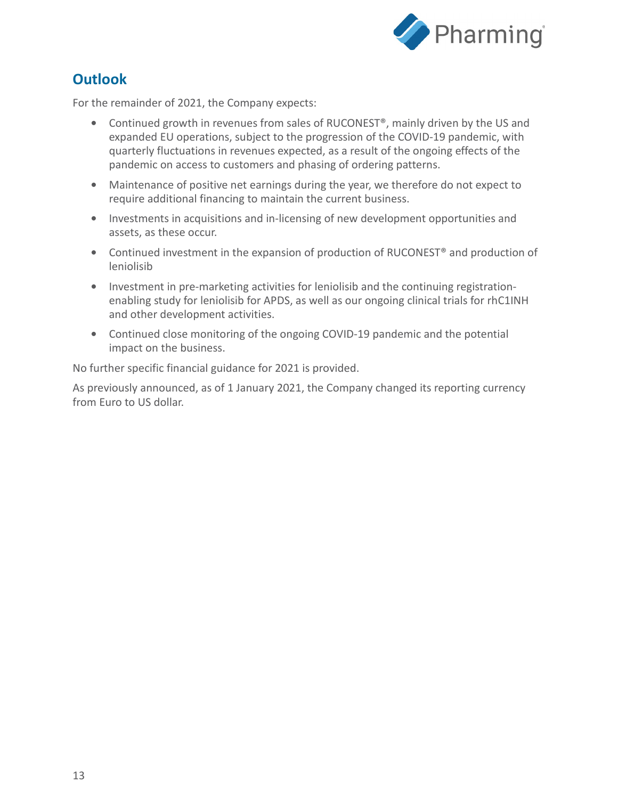

# **Outlook**

For the remainder of 2021, the Company expects:

- **•** Continued growth in revenues from sales of RUCONEST®, mainly driven by the US and expanded EU operations, subject to the progression of the COVID-19 pandemic, with quarterly fluctuations in revenues expected, as a result of the ongoing effects of the pandemic on access to customers and phasing of ordering patterns.
- **•** Maintenance of positive net earnings during the year, we therefore do not expect to require additional financing to maintain the current business.
- **•** Investments in acquisitions and in-licensing of new development opportunities and assets, as these occur.
- **•** Continued investment in the expansion of production of RUCONEST® and production of leniolisib
- **•** Investment in pre-marketing activities for leniolisib and the continuing registrationenabling study for leniolisib for APDS, as well as our ongoing clinical trials for rhC1INH and other development activities.
- **•** Continued close monitoring of the ongoing COVID-19 pandemic and the potential impact on the business.

No further specific financial guidance for 2021 is provided.

As previously announced, as of 1 January 2021, the Company changed its reporting currency from Euro to US dollar.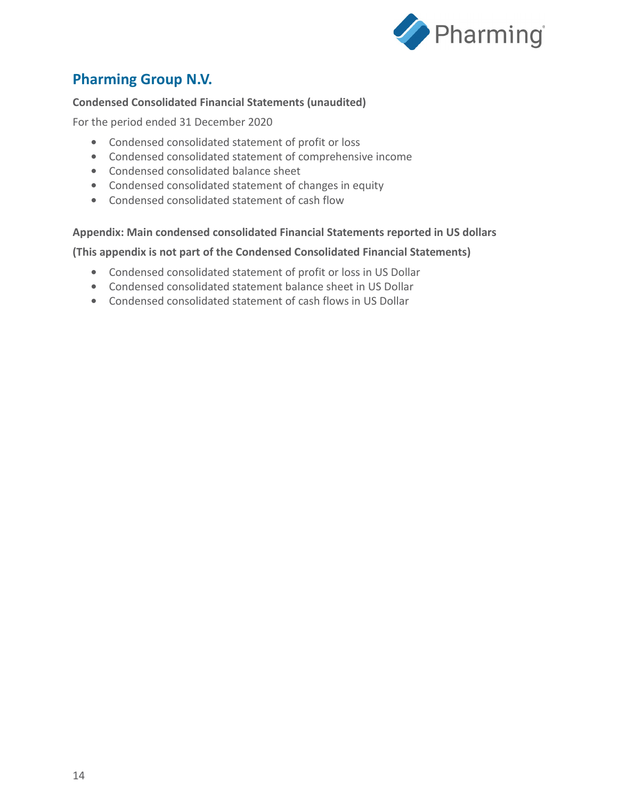

## **Pharming Group N.V.**

### **Condensed Consolidated Financial Statements (unaudited)**

For the period ended 31 December 2020

- **•** Condensed consolidated statement of profit or loss
- **•** Condensed consolidated statement of comprehensive income
- **•** Condensed consolidated balance sheet
- **•** Condensed consolidated statement of changes in equity
- **•** Condensed consolidated statement of cash flow

#### **Appendix: Main condensed consolidated Financial Statements reported in US dollars**

**(This appendix is not part of the Condensed Consolidated Financial Statements)**

- **•** Condensed consolidated statement of profit or loss in US Dollar
- **•** Condensed consolidated statement balance sheet in US Dollar
- **•** Condensed consolidated statement of cash flows in US Dollar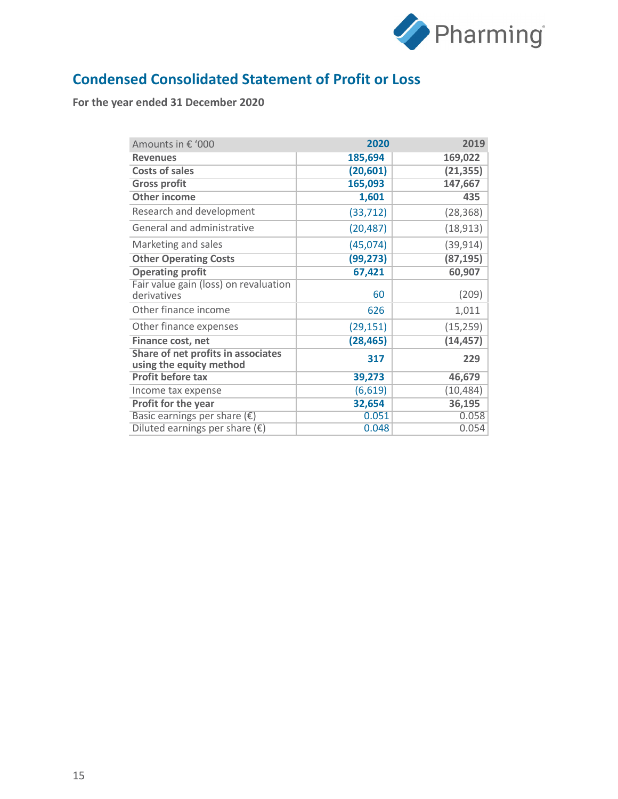

# **Condensed Consolidated Statement of Profit or Loss**

| Amounts in € '000                                             | 2020      | 2019      |
|---------------------------------------------------------------|-----------|-----------|
| <b>Revenues</b>                                               | 185,694   | 169,022   |
| <b>Costs of sales</b>                                         | (20, 601) | (21, 355) |
| <b>Gross profit</b>                                           | 165,093   | 147,667   |
| <b>Other income</b>                                           | 1,601     | 435       |
| Research and development                                      | (33, 712) | (28, 368) |
| General and administrative                                    | (20, 487) | (18, 913) |
| Marketing and sales                                           | (45,074)  | (39, 914) |
| <b>Other Operating Costs</b>                                  | (99, 273) | (87, 195) |
| <b>Operating profit</b>                                       | 67,421    | 60,907    |
| Fair value gain (loss) on revaluation<br>derivatives          | 60        | (209)     |
| Other finance income                                          | 626       | 1,011     |
| Other finance expenses                                        | (29, 151) | (15, 259) |
| Finance cost, net                                             | (28, 465) | (14, 457) |
| Share of net profits in associates<br>using the equity method | 317       | 229       |
| <b>Profit before tax</b>                                      | 39,273    | 46,679    |
| Income tax expense                                            | (6, 619)  | (10, 484) |
| Profit for the year                                           | 32,654    | 36,195    |
| Basic earnings per share $(\epsilon)$                         | 0.051     | 0.058     |
| Diluted earnings per share $(\epsilon)$                       | 0.048     | 0.054     |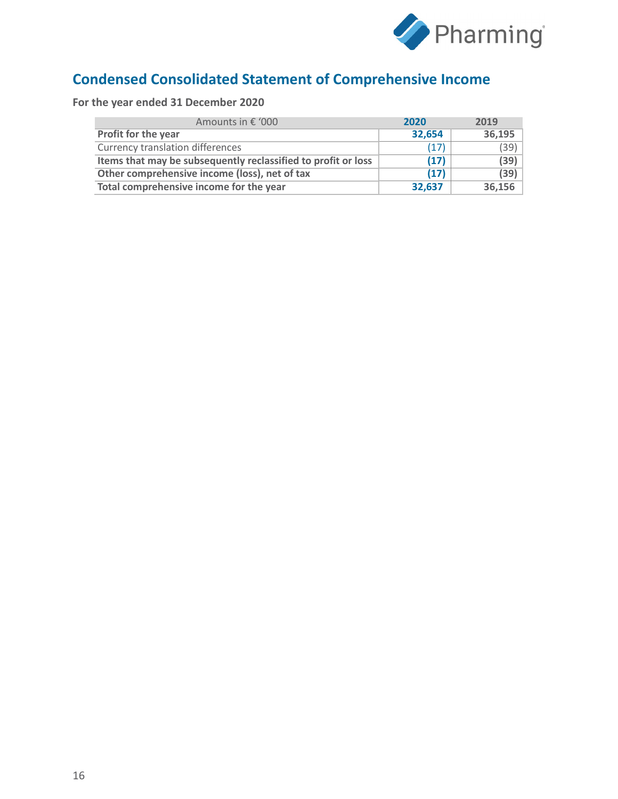

# **Condensed Consolidated Statement of Comprehensive Income**

| Amounts in € '000                                             | 2020   | 2019   |
|---------------------------------------------------------------|--------|--------|
| Profit for the year                                           | 32,654 | 36,195 |
| <b>Currency translation differences</b>                       | (17)   | (39)   |
| Items that may be subsequently reclassified to profit or loss | (17)   | (39)   |
| Other comprehensive income (loss), net of tax                 | (17)   | (39)   |
| Total comprehensive income for the year                       | 32,637 | 36,156 |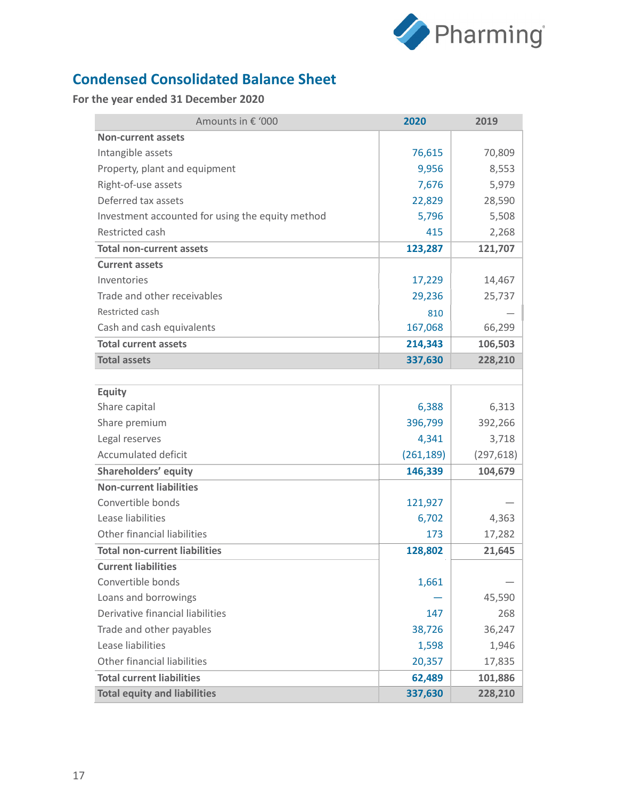

# **Condensed Consolidated Balance Sheet**

| Amounts in € '000                                | 2020       | 2019       |
|--------------------------------------------------|------------|------------|
| <b>Non-current assets</b>                        |            |            |
| Intangible assets                                | 76,615     | 70,809     |
| Property, plant and equipment                    | 9,956      | 8,553      |
| Right-of-use assets                              | 7,676      | 5,979      |
| Deferred tax assets                              | 22,829     | 28,590     |
| Investment accounted for using the equity method | 5,796      | 5,508      |
| Restricted cash                                  | 415        | 2,268      |
| <b>Total non-current assets</b>                  | 123,287    | 121,707    |
| <b>Current assets</b>                            |            |            |
| Inventories                                      | 17,229     | 14,467     |
| Trade and other receivables                      | 29,236     | 25,737     |
| Restricted cash                                  | 810        |            |
| Cash and cash equivalents                        | 167,068    | 66,299     |
| <b>Total current assets</b>                      | 214,343    | 106,503    |
| <b>Total assets</b>                              | 337,630    | 228,210    |
|                                                  |            |            |
| <b>Equity</b>                                    |            |            |
| Share capital                                    | 6,388      | 6,313      |
| Share premium                                    | 396,799    | 392,266    |
| Legal reserves                                   | 4,341      | 3,718      |
| <b>Accumulated deficit</b>                       | (261, 189) | (297, 618) |
| <b>Shareholders' equity</b>                      | 146,339    | 104,679    |
| <b>Non-current liabilities</b>                   |            |            |
| Convertible bonds                                | 121,927    |            |
| Lease liabilities                                | 6,702      | 4,363      |
| Other financial liabilities                      | 173        | 17,282     |
| <b>Total non-current liabilities</b>             | 128,802    | 21,645     |
| <b>Current liabilities</b>                       |            |            |
| Convertible bonds                                | 1,661      |            |
| Loans and borrowings                             |            | 45,590     |
| Derivative financial liabilities                 | 147        | 268        |
| Trade and other payables                         | 38,726     | 36,247     |
| Lease liabilities                                | 1,598      | 1,946      |
| Other financial liabilities                      | 20,357     | 17,835     |
| <b>Total current liabilities</b>                 | 62,489     | 101,886    |
| <b>Total equity and liabilities</b>              | 337,630    | 228,210    |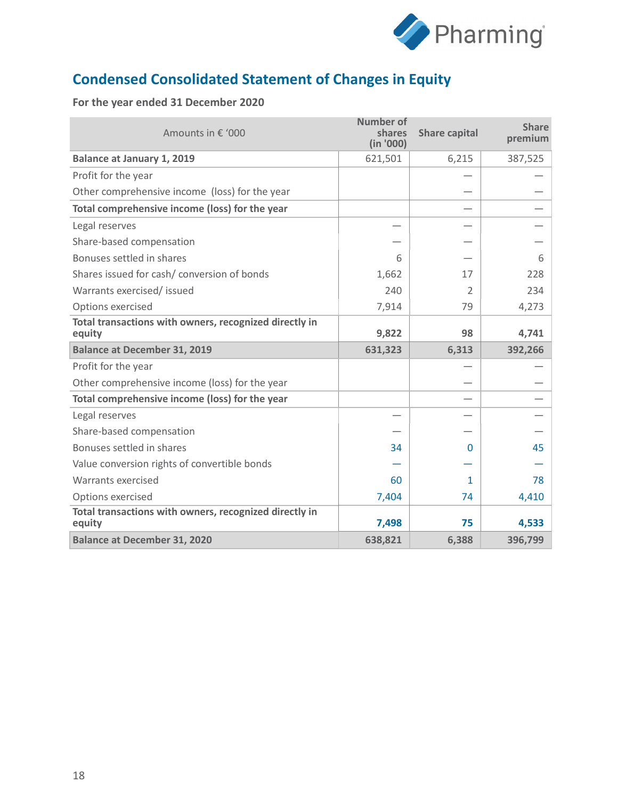

# **Condensed Consolidated Statement of Changes in Equity**

| Amounts in € '000                                                | <b>Number of</b><br>shares<br>(in '000) | <b>Share capital</b> | <b>Share</b><br>premium |
|------------------------------------------------------------------|-----------------------------------------|----------------------|-------------------------|
| <b>Balance at January 1, 2019</b>                                | 621,501                                 | 6,215                | 387,525                 |
| Profit for the year                                              |                                         |                      |                         |
| Other comprehensive income (loss) for the year                   |                                         |                      |                         |
| Total comprehensive income (loss) for the year                   |                                         |                      |                         |
| Legal reserves                                                   |                                         |                      |                         |
| Share-based compensation                                         |                                         |                      |                         |
| Bonuses settled in shares                                        | 6                                       |                      | 6                       |
| Shares issued for cash/ conversion of bonds                      | 1,662                                   | 17                   | 228                     |
| Warrants exercised/ issued                                       | 240                                     | $\mathcal{P}$        | 234                     |
| Options exercised                                                | 7,914                                   | 79                   | 4,273                   |
| Total transactions with owners, recognized directly in<br>equity | 9,822                                   | 98                   | 4,741                   |
| <b>Balance at December 31, 2019</b>                              | 631,323                                 | 6,313                | 392,266                 |
| Profit for the year                                              |                                         |                      |                         |
| Other comprehensive income (loss) for the year                   |                                         |                      |                         |
| Total comprehensive income (loss) for the year                   |                                         |                      |                         |
| Legal reserves                                                   |                                         |                      |                         |
| Share-based compensation                                         |                                         |                      |                         |
| Bonuses settled in shares                                        | 34                                      | 0                    | 45                      |
| Value conversion rights of convertible bonds                     |                                         |                      |                         |
| Warrants exercised                                               | 60                                      | 1                    | 78                      |
| Options exercised                                                | 7,404                                   | 74                   | 4,410                   |
| Total transactions with owners, recognized directly in<br>equity | 7,498                                   | 75                   | 4,533                   |
| <b>Balance at December 31, 2020</b>                              | 638,821                                 | 6,388                | 396,799                 |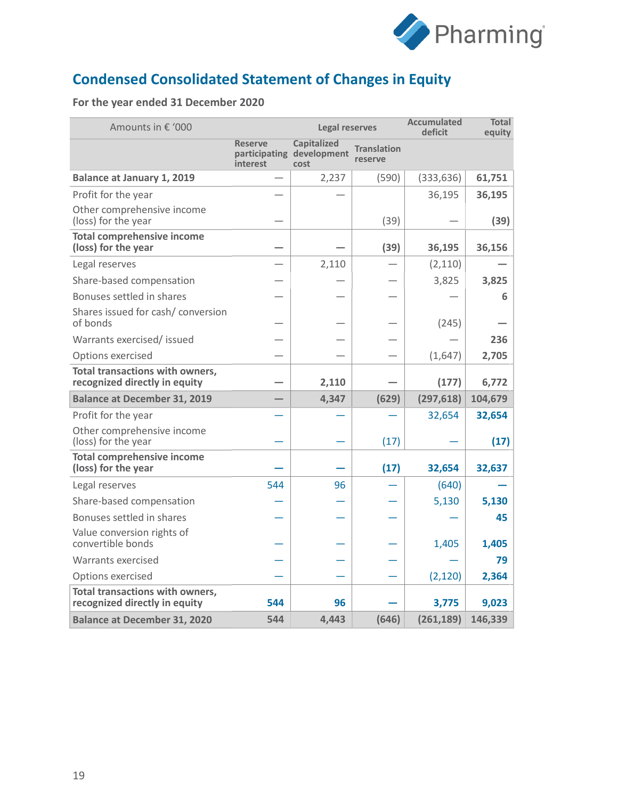

# **Condensed Consolidated Statement of Changes in Equity**

| Amounts in € '000                                                       |                            | <b>Legal reserves</b>                                   |                               | <b>Accumulated</b><br>deficit | <b>Total</b><br>equity |
|-------------------------------------------------------------------------|----------------------------|---------------------------------------------------------|-------------------------------|-------------------------------|------------------------|
|                                                                         | <b>Reserve</b><br>interest | <b>Capitalized</b><br>participating development<br>cost | <b>Translation</b><br>reserve |                               |                        |
| <b>Balance at January 1, 2019</b>                                       |                            | 2,237                                                   | (590)                         | (333, 636)                    | 61,751                 |
| Profit for the year                                                     |                            |                                                         |                               | 36,195                        | 36,195                 |
| Other comprehensive income<br>(loss) for the year                       |                            |                                                         | (39)                          |                               | (39)                   |
| <b>Total comprehensive income</b><br>(loss) for the year                |                            |                                                         | (39)                          | 36,195                        | 36,156                 |
| Legal reserves                                                          |                            | 2,110                                                   |                               | (2, 110)                      |                        |
| Share-based compensation                                                |                            |                                                         |                               | 3,825                         | 3,825                  |
| Bonuses settled in shares                                               |                            |                                                         |                               |                               | 6                      |
| Shares issued for cash/conversion<br>of bonds                           |                            |                                                         |                               | (245)                         |                        |
| Warrants exercised/ issued                                              |                            |                                                         |                               |                               | 236                    |
| Options exercised                                                       |                            |                                                         |                               | (1,647)                       | 2,705                  |
| Total transactions with owners,<br>recognized directly in equity        |                            | 2,110                                                   |                               | (177)                         | 6,772                  |
| <b>Balance at December 31, 2019</b>                                     |                            | 4,347                                                   | (629)                         | (297, 618)                    | 104,679                |
| Profit for the year                                                     |                            |                                                         |                               | 32,654                        | 32,654                 |
| Other comprehensive income<br>(loss) for the year                       |                            |                                                         | (17)                          |                               | (17)                   |
| <b>Total comprehensive income</b><br>(loss) for the year                |                            |                                                         | (17)                          | 32,654                        | 32,637                 |
| Legal reserves                                                          | 544                        | 96                                                      |                               | (640)                         |                        |
| Share-based compensation                                                |                            |                                                         |                               | 5,130                         | 5,130                  |
| Bonuses settled in shares                                               |                            |                                                         |                               |                               | 45                     |
| Value conversion rights of<br>convertible bonds                         |                            |                                                         |                               | 1,405                         | 1,405                  |
| Warrants exercised                                                      |                            |                                                         |                               |                               | 79                     |
| Options exercised                                                       |                            |                                                         |                               | (2, 120)                      | 2,364                  |
| <b>Total transactions with owners,</b><br>recognized directly in equity | 544                        | 96                                                      |                               | 3,775                         | 9,023                  |
| <b>Balance at December 31, 2020</b>                                     | 544                        | 4,443                                                   | (646)                         | (261, 189)                    | 146,339                |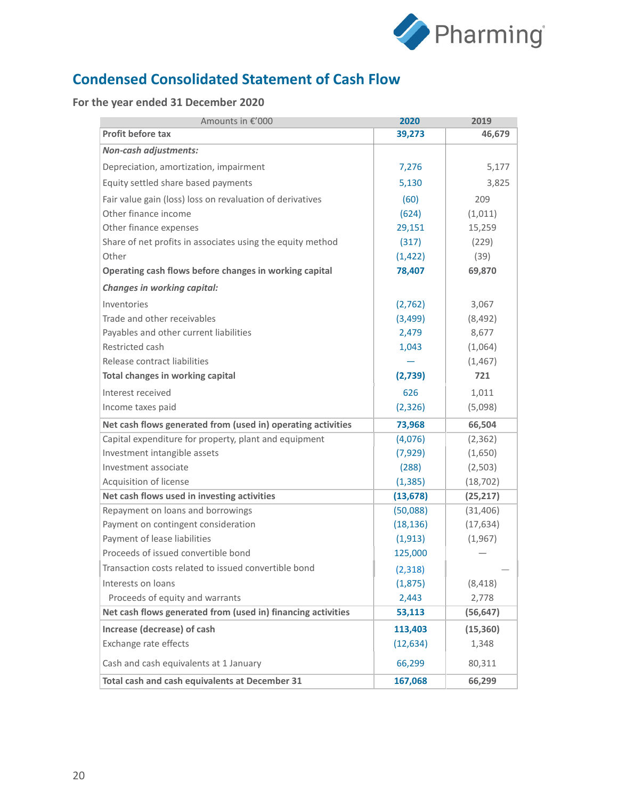

# **Condensed Consolidated Statement of Cash Flow**

| Amounts in €'000                                             | 2020      | 2019      |
|--------------------------------------------------------------|-----------|-----------|
| Profit before tax                                            | 39,273    | 46,679    |
| <b>Non-cash adjustments:</b>                                 |           |           |
| Depreciation, amortization, impairment                       | 7,276     | 5,177     |
| Equity settled share based payments                          | 5,130     | 3,825     |
| Fair value gain (loss) loss on revaluation of derivatives    | (60)      | 209       |
| Other finance income                                         | (624)     | (1,011)   |
| Other finance expenses                                       | 29,151    | 15,259    |
| Share of net profits in associates using the equity method   | (317)     | (229)     |
| Other                                                        | (1, 422)  | (39)      |
| Operating cash flows before changes in working capital       | 78,407    | 69,870    |
| Changes in working capital:                                  |           |           |
| Inventories                                                  | (2,762)   | 3,067     |
| Trade and other receivables                                  | (3, 499)  | (8, 492)  |
| Payables and other current liabilities                       | 2,479     | 8,677     |
| Restricted cash                                              | 1,043     | (1,064)   |
| Release contract liabilities                                 |           | (1, 467)  |
| Total changes in working capital                             | (2,739)   | 721       |
| Interest received                                            | 626       | 1,011     |
| Income taxes paid                                            | (2, 326)  | (5,098)   |
| Net cash flows generated from (used in) operating activities | 73,968    | 66,504    |
| Capital expenditure for property, plant and equipment        | (4,076)   | (2, 362)  |
| Investment intangible assets                                 | (7, 929)  | (1,650)   |
| Investment associate                                         | (288)     | (2,503)   |
| Acquisition of license                                       | (1, 385)  | (18, 702) |
| Net cash flows used in investing activities                  | (13, 678) | (25, 217) |
| Repayment on loans and borrowings                            | (50,088)  | (31, 406) |
| Payment on contingent consideration                          | (18, 136) | (17, 634) |
| Payment of lease liabilities                                 | (1, 913)  | (1,967)   |
| Proceeds of issued convertible bond                          | 125,000   |           |
| Transaction costs related to issued convertible bond         | (2,318)   |           |
| Interests on loans                                           | (1,875)   | (8, 418)  |
| Proceeds of equity and warrants                              | 2,443     | 2,778     |
| Net cash flows generated from (used in) financing activities | 53,113    | (56, 647) |
| Increase (decrease) of cash                                  | 113,403   | (15, 360) |
| Exchange rate effects                                        | (12, 634) | 1,348     |
| Cash and cash equivalents at 1 January                       | 66,299    | 80,311    |
| Total cash and cash equivalents at December 31               | 167,068   | 66,299    |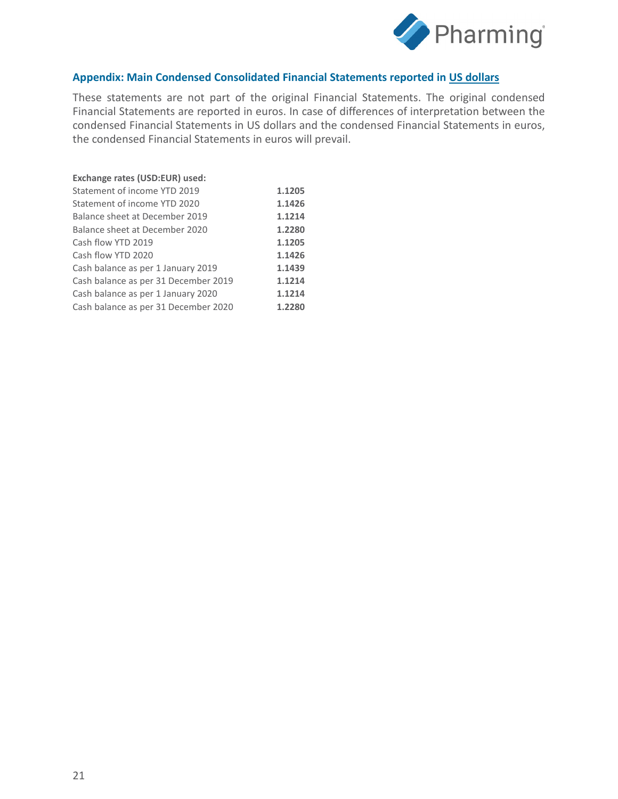

#### **Appendix: Main Condensed Consolidated Financial Statements reported in US dollars**

These statements are not part of the original Financial Statements. The original condensed Financial Statements are reported in euros. In case of differences of interpretation between the condensed Financial Statements in US dollars and the condensed Financial Statements in euros, the condensed Financial Statements in euros will prevail.

| Exchange rates (USD:EUR) used:       |        |
|--------------------------------------|--------|
| Statement of income YTD 2019         | 1.1205 |
| Statement of income YTD 2020         | 1.1426 |
| Balance sheet at December 2019       | 1.1214 |
| Balance sheet at December 2020       | 1.2280 |
| Cash flow YTD 2019                   | 1.1205 |
| Cash flow YTD 2020                   | 1.1426 |
| Cash balance as per 1 January 2019   | 1.1439 |
| Cash balance as per 31 December 2019 | 1.1214 |
| Cash balance as per 1 January 2020   | 1.1214 |
| Cash balance as per 31 December 2020 | 1.2280 |
|                                      |        |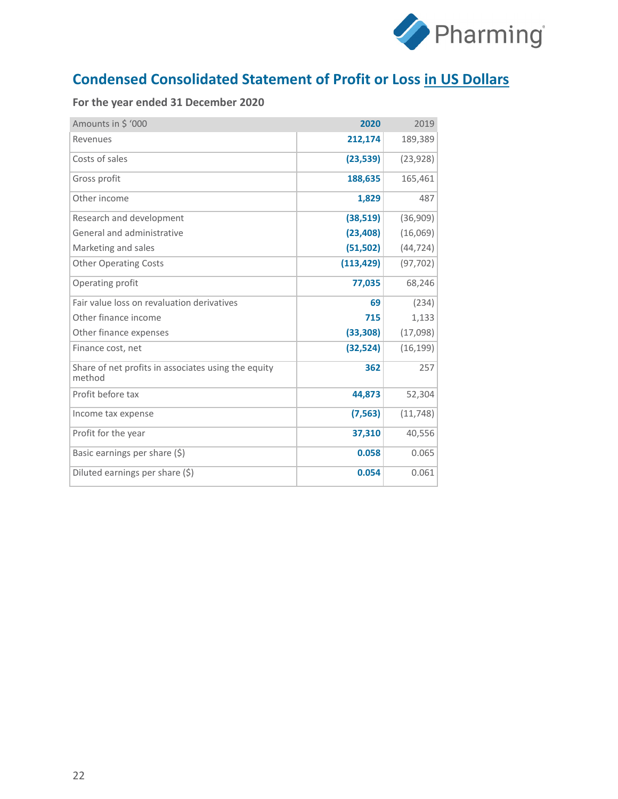

# **Condensed Consolidated Statement of Profit or Loss in US Dollars**

| Amounts in \$ '000                                            | 2020       | 2019      |
|---------------------------------------------------------------|------------|-----------|
| Revenues                                                      | 212,174    | 189,389   |
| Costs of sales                                                | (23, 539)  | (23, 928) |
| Gross profit                                                  | 188,635    | 165,461   |
| Other income                                                  | 1,829      | 487       |
| Research and development                                      | (38, 519)  | (36,909)  |
| General and administrative                                    | (23, 408)  | (16,069)  |
| Marketing and sales                                           | (51, 502)  | (44, 724) |
| <b>Other Operating Costs</b>                                  | (113, 429) | (97, 702) |
| Operating profit                                              | 77,035     | 68,246    |
| Fair value loss on revaluation derivatives                    | 69         | (234)     |
| Other finance income                                          | 715        | 1,133     |
| Other finance expenses                                        | (33, 308)  | (17,098)  |
| Finance cost, net                                             | (32, 524)  | (16, 199) |
| Share of net profits in associates using the equity<br>method | 362        | 257       |
| Profit before tax                                             | 44,873     | 52,304    |
| Income tax expense                                            | (7, 563)   | (11, 748) |
| Profit for the year                                           | 37,310     | 40,556    |
| Basic earnings per share (\$)                                 | 0.058      | 0.065     |
| Diluted earnings per share (\$)                               | 0.054      | 0.061     |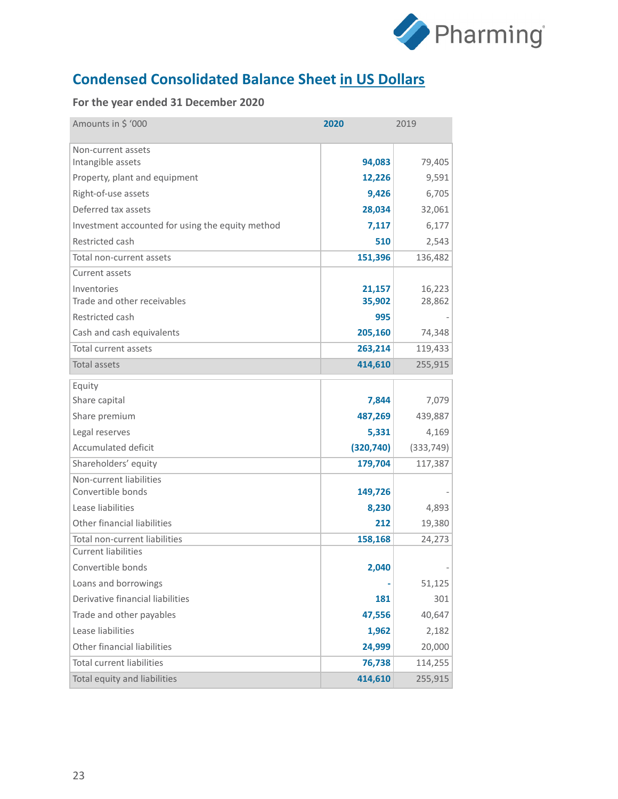

# **Condensed Consolidated Balance Sheet in US Dollars**

| Amounts in \$ '000                               | 2020       | 2019       |
|--------------------------------------------------|------------|------------|
| Non-current assets                               |            |            |
| Intangible assets                                | 94,083     | 79,405     |
| Property, plant and equipment                    | 12,226     | 9,591      |
| Right-of-use assets                              | 9,426      | 6,705      |
| Deferred tax assets                              | 28,034     | 32,061     |
| Investment accounted for using the equity method | 7,117      | 6,177      |
| Restricted cash                                  | 510        | 2,543      |
| Total non-current assets                         | 151,396    | 136,482    |
| Current assets                                   |            |            |
| Inventories                                      | 21,157     | 16,223     |
| Trade and other receivables                      | 35,902     | 28,862     |
| Restricted cash                                  | 995        |            |
| Cash and cash equivalents                        | 205,160    | 74,348     |
| <b>Total current assets</b>                      | 263,214    | 119,433    |
| <b>Total assets</b>                              | 414,610    | 255,915    |
| Equity                                           |            |            |
| Share capital                                    | 7,844      | 7,079      |
| Share premium                                    | 487,269    | 439,887    |
| Legal reserves                                   | 5,331      | 4,169      |
| <b>Accumulated deficit</b>                       | (320, 740) | (333, 749) |
| Shareholders' equity                             | 179,704    | 117,387    |
| Non-current liabilities                          |            |            |
| Convertible bonds                                | 149,726    |            |
| Lease liabilities                                | 8,230      | 4,893      |
| Other financial liabilities                      | 212        | 19,380     |
| Total non-current liabilities                    | 158,168    | 24,273     |
| <b>Current liabilities</b>                       |            |            |
| Convertible bonds                                | 2,040      |            |
| Loans and borrowings                             |            | 51,125     |
| Derivative financial liabilities                 | 181        | 301        |
| Trade and other payables                         | 47,556     | 40,647     |
| Lease liabilities                                | 1,962      | 2,182      |
| Other financial liabilities                      | 24,999     | 20,000     |
| <b>Total current liabilities</b>                 | 76,738     | 114,255    |
| Total equity and liabilities                     | 414,610    | 255,915    |